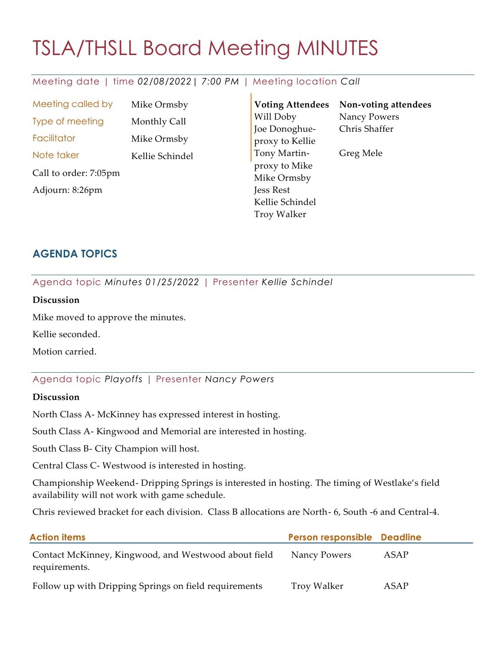# TSLA/THSLL Board Meeting MINUTES

# Meeting date | time *02/08/2022| 7:00 PM* | Meeting location *Call*

Meeting called by Mike Ormsby Type of meeting Monthly Call Facilitator Mike Ormsby Note taker Kellie Schindel Call to order: 7:05pm Adjourn: 8:26pm

**Voting Attendees** Will Doby Joe Donoghueproxy to Kellie Tony Martinproxy to Mike Mike Ormsby Jess Rest Kellie Schindel Troy Walker **Non-voting attendees** Nancy Powers Chris Shaffer Greg Mele

# **AGENDA TOPICS**

Agenda topic *Minutes 01/25/2022* | Presenter *Kellie Schindel*

#### **Discussion**

Mike moved to approve the minutes.

Kellie seconded.

Motion carried.

# Agenda topic *Playoffs* | Presenter *Nancy Powers*

#### **Discussion**

North Class A- McKinney has expressed interest in hosting.

South Class A- Kingwood and Memorial are interested in hosting.

South Class B- City Champion will host.

Central Class C- Westwood is interested in hosting.

Championship Weekend- Dripping Springs is interested in hosting. The timing of Westlake's field availability will not work with game schedule.

Chris reviewed bracket for each division. Class B allocations are North- 6, South -6 and Central-4.

| <b>Action items</b>                                                   | Person responsible Deadline |      |
|-----------------------------------------------------------------------|-----------------------------|------|
| Contact McKinney, Kingwood, and Westwood about field<br>requirements. | Nancy Powers                | ASAP |
| Follow up with Dripping Springs on field requirements                 | Troy Walker                 | ASAP |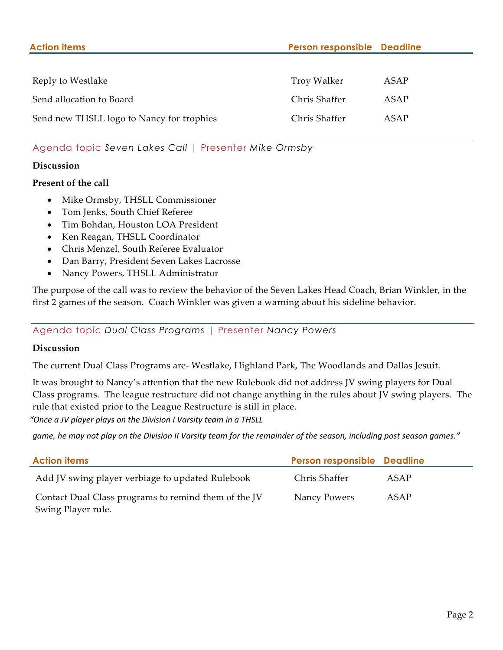| <b>Action items</b>                       | Person responsible Deadline |      |
|-------------------------------------------|-----------------------------|------|
|                                           |                             |      |
| Reply to Westlake                         | Troy Walker                 | ASAP |
| Send allocation to Board                  | Chris Shaffer               | ASAP |
| Send new THSLL logo to Nancy for trophies | Chris Shaffer               | ASAP |

## Agenda topic *Seven Lakes Call* | Presenter *Mike Ormsby*

#### **Discussion**

#### **Present of the call**

- Mike Ormsby, THSLL Commissioner
- Tom Jenks, South Chief Referee
- Tim Bohdan, Houston LOA President
- Ken Reagan, THSLL Coordinator
- Chris Menzel, South Referee Evaluator
- Dan Barry, President Seven Lakes Lacrosse
- Nancy Powers, THSLL Administrator

The purpose of the call was to review the behavior of the Seven Lakes Head Coach, Brian Winkler, in the first 2 games of the season. Coach Winkler was given a warning about his sideline behavior.

Agenda topic *Dual Class Programs* | Presenter *Nancy Powers*

#### **Discussion**

The current Dual Class Programs are- Westlake, Highland Park, The Woodlands and Dallas Jesuit.

It was brought to Nancy's attention that the new Rulebook did not address JV swing players for Dual Class programs. The league restructure did not change anything in the rules about JV swing players. The rule that existed prior to the League Restructure is still in place.

*"Once a JV player plays on the Division I Varsity team in a THSLL*

*game, he may not play on the Division II Varsity team for the remainder of the season, including post season games."*

| <b>Action items</b>                                  | Person responsible Deadline |      |
|------------------------------------------------------|-----------------------------|------|
| Add JV swing player verbiage to updated Rulebook     | Chris Shaffer               | ASAP |
| Contact Dual Class programs to remind them of the JV | Nancy Powers                | ASAP |
| Swing Player rule.                                   |                             |      |